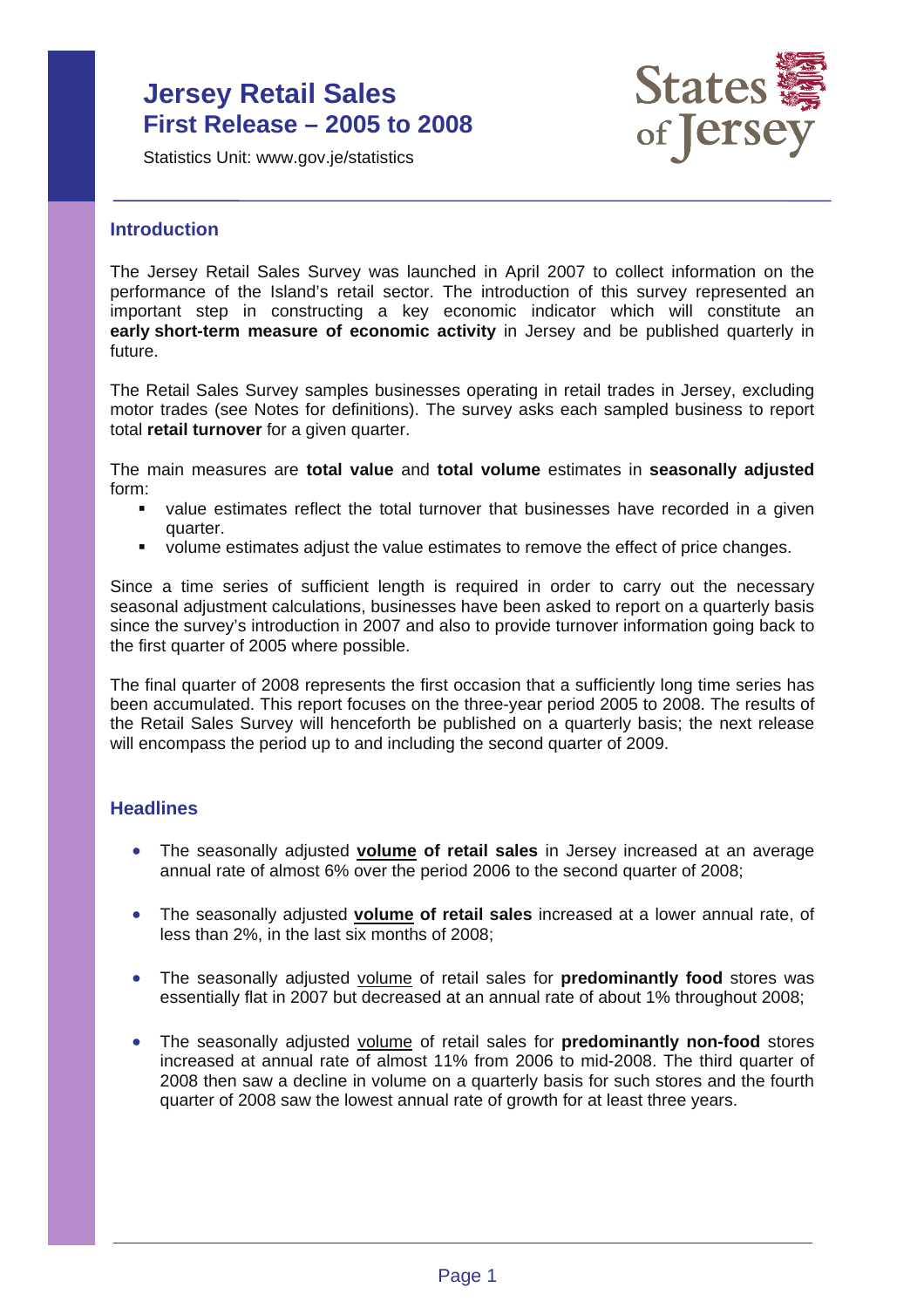# **Jersey Retail Sales First Release – 2005 to 2008**

Statistics Unit: www.gov.je/statistics



### **Introduction**

The Jersey Retail Sales Survey was launched in April 2007 to collect information on the performance of the Island's retail sector. The introduction of this survey represented an important step in constructing a key economic indicator which will constitute an **early short-term measure of economic activity** in Jersey and be published quarterly in future.

The Retail Sales Survey samples businesses operating in retail trades in Jersey, excluding motor trades (see Notes for definitions). The survey asks each sampled business to report total **retail turnover** for a given quarter.

The main measures are **total value** and **total volume** estimates in **seasonally adjusted** form:

- value estimates reflect the total turnover that businesses have recorded in a given quarter.
- volume estimates adjust the value estimates to remove the effect of price changes.

Since a time series of sufficient length is required in order to carry out the necessary seasonal adjustment calculations, businesses have been asked to report on a quarterly basis since the survey's introduction in 2007 and also to provide turnover information going back to the first quarter of 2005 where possible.

The final quarter of 2008 represents the first occasion that a sufficiently long time series has been accumulated. This report focuses on the three-year period 2005 to 2008. The results of the Retail Sales Survey will henceforth be published on a quarterly basis; the next release will encompass the period up to and including the second quarter of 2009.

#### **Headlines**

- The seasonally adjusted **volume of retail sales** in Jersey increased at an average annual rate of almost 6% over the period 2006 to the second quarter of 2008;
- The seasonally adjusted **volume of retail sales** increased at a lower annual rate, of less than 2%, in the last six months of 2008;
- The seasonally adjusted volume of retail sales for **predominantly food** stores was essentially flat in 2007 but decreased at an annual rate of about 1% throughout 2008;
- The seasonally adjusted volume of retail sales for **predominantly non-food** stores increased at annual rate of almost 11% from 2006 to mid-2008. The third quarter of 2008 then saw a decline in volume on a quarterly basis for such stores and the fourth quarter of 2008 saw the lowest annual rate of growth for at least three years.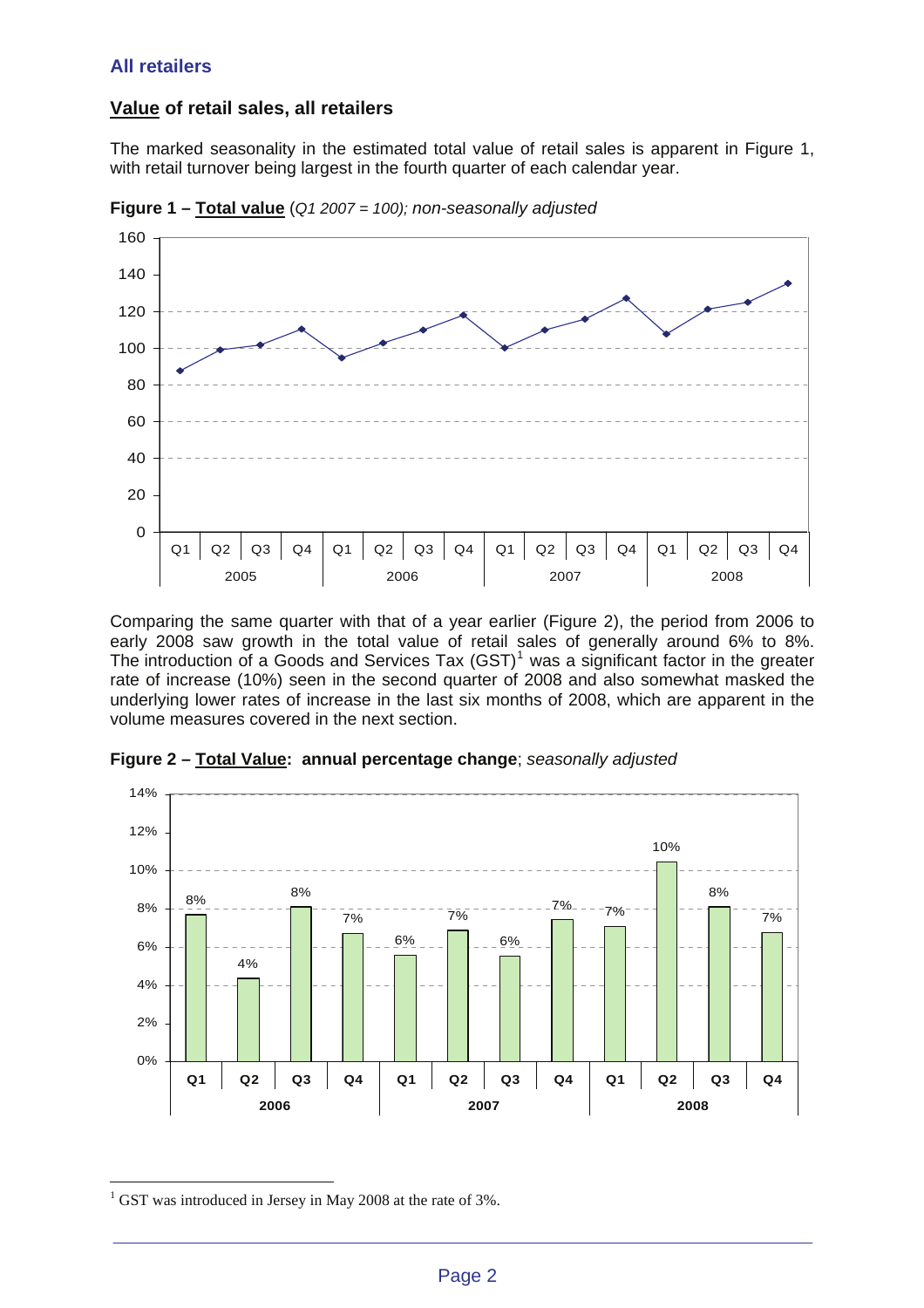### **All retailers**

## **Value of retail sales, all retailers**

The marked seasonality in the estimated total value of retail sales is apparent in Figure 1, with retail turnover being largest in the fourth quarter of each calendar year.



**Figure 1 – Total value** (*Q1 2007 = 100); non-seasonally adjusted*

Comparing the same quarter with that of a year earlier (Figure 2), the period from 2006 to early 2008 saw growth in the total value of retail sales of generally around 6% to 8%. The introduction of a Goods and Services Tax  $(GST)^1$  $(GST)^1$  was a significant factor in the greater rate of increase (10%) seen in the second quarter of 2008 and also somewhat masked the underlying lower rates of increase in the last six months of 2008, which are apparent in the volume measures covered in the next section.



**Figure 2 – Total Value: annual percentage change**; *seasonally adjusted* 

 $\overline{a}$ 

<span id="page-1-0"></span><sup>&</sup>lt;sup>1</sup> GST was introduced in Jersey in May 2008 at the rate of 3%.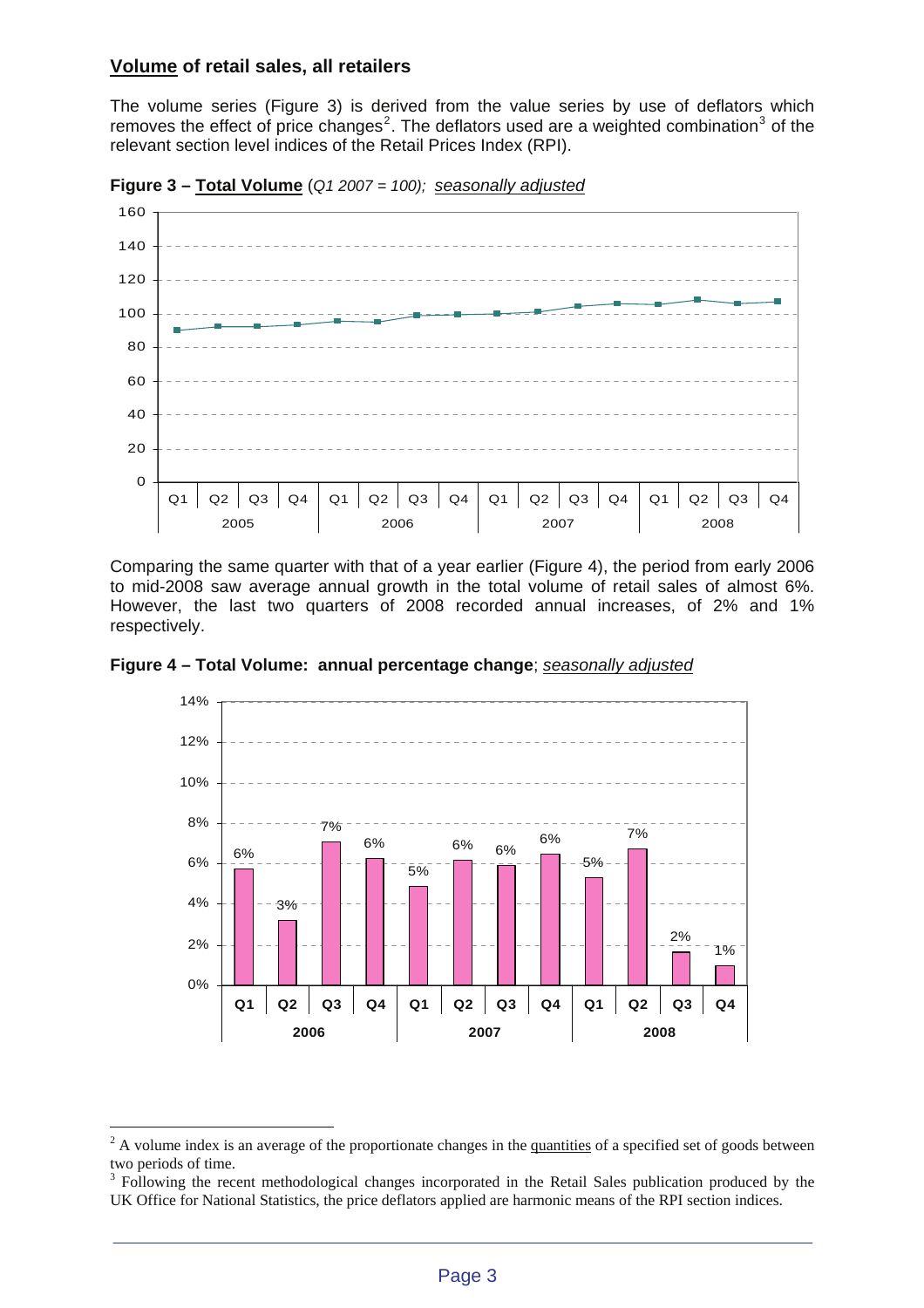#### **Volume of retail sales, all retailers**

The volume series (Figure 3) is derived from the value series by use of deflators which removes the effect of price changes<sup>[2](#page-2-0)</sup>. The deflators used are a weighted combination<sup>[3](#page-2-1)</sup> of the relevant section level indices of the Retail Prices Index (RPI).



**Figure 3 – Total Volume** (*Q1 2007 = 100); seasonally adjusted*

Comparing the same quarter with that of a year earlier (Figure 4), the period from early 2006 to mid-2008 saw average annual growth in the total volume of retail sales of almost 6%. However, the last two quarters of 2008 recorded annual increases, of 2% and 1% respectively.



**Figure 4 – Total Volume: annual percentage change**; *seasonally adjusted*

 $\overline{a}$ 

<span id="page-2-0"></span> $2^2$  A volume index is an average of the proportionate changes in the quantities of a specified set of goods between two periods of time.

<span id="page-2-1"></span><sup>&</sup>lt;sup>3</sup> Following the recent methodological changes incorporated in the Retail Sales publication produced by the UK Office for National Statistics, the price deflators applied are harmonic means of the RPI section indices.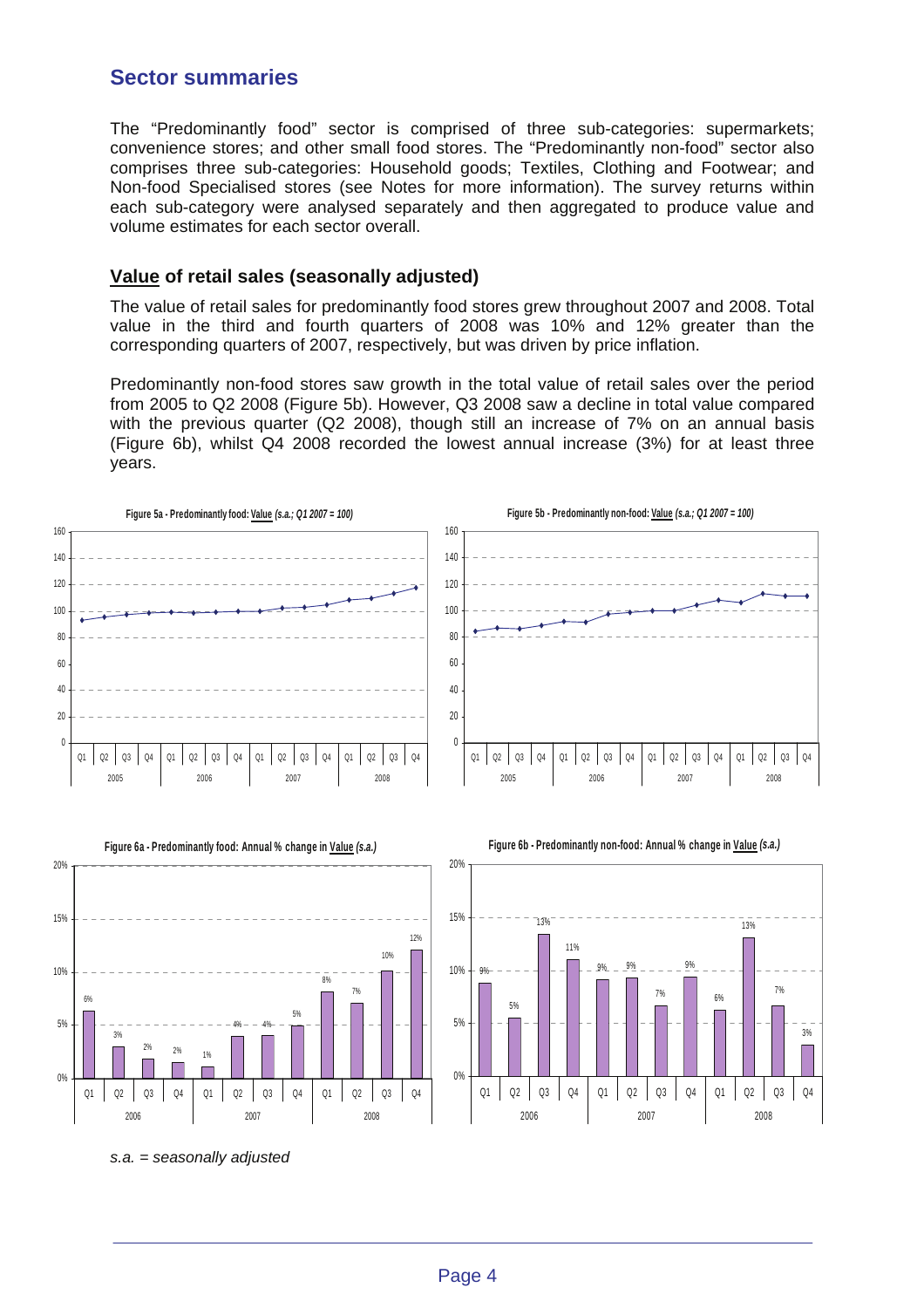## **Sector summaries**

The "Predominantly food" sector is comprised of three sub-categories: supermarkets; convenience stores; and other small food stores. The "Predominantly non-food" sector also comprises three sub-categories: Household goods; Textiles, Clothing and Footwear; and Non-food Specialised stores (see Notes for more information). The survey returns within each sub-category were analysed separately and then aggregated to produce value and volume estimates for each sector overall.

### **Value of retail sales (seasonally adjusted)**

The value of retail sales for predominantly food stores grew throughout 2007 and 2008. Total value in the third and fourth quarters of 2008 was 10% and 12% greater than the corresponding quarters of 2007, respectively, but was driven by price inflation.

Predominantly non-food stores saw growth in the total value of retail sales over the period from 2005 to Q2 2008 (Figure 5b). However, Q3 2008 saw a decline in total value compared with the previous quarter (Q2 2008), though still an increase of 7% on an annual basis (Figure 6b), whilst Q4 2008 recorded the lowest annual increase (3%) for at least three years.





*s.a. = seasonally adjusted*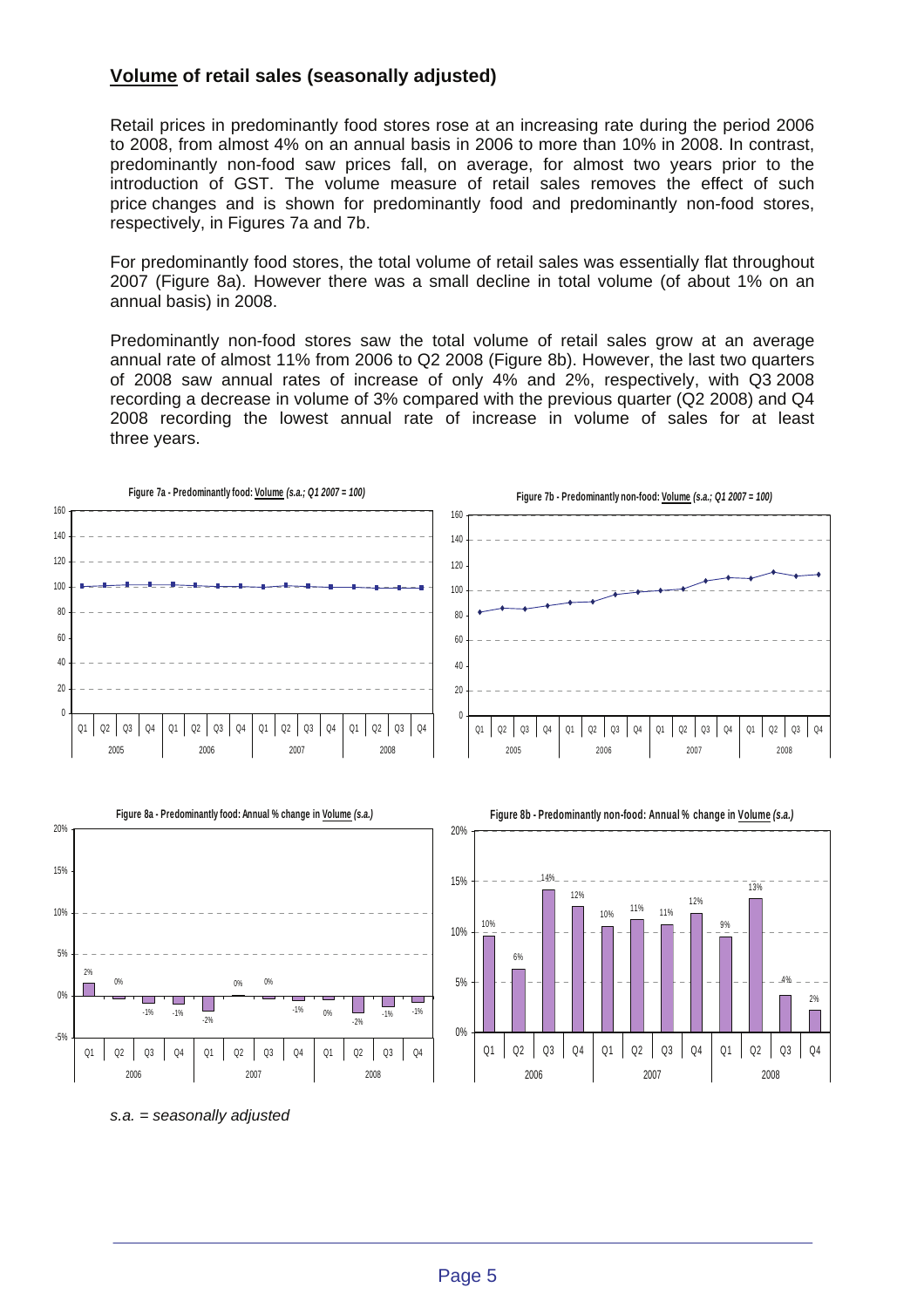### **Volume of retail sales (seasonally adjusted)**

Retail prices in predominantly food stores rose at an increasing rate during the period 2006 to 2008, from almost 4% on an annual basis in 2006 to more than 10% in 2008. In contrast, predominantly non-food saw prices fall, on average, for almost two years prior to the introduction of GST. The volume measure of retail sales removes the effect of such price changes and is shown for predominantly food and predominantly non-food stores, respectively, in Figures 7a and 7b.

For predominantly food stores, the total volume of retail sales was essentially flat throughout 2007 (Figure 8a). However there was a small decline in total volume (of about 1% on an annual basis) in 2008.

Predominantly non-food stores saw the total volume of retail sales grow at an average annual rate of almost 11% from 2006 to Q2 2008 (Figure 8b). However, the last two quarters of 2008 saw annual rates of increase of only 4% and 2%, respectively, with Q3 2008 recording a decrease in volume of 3% compared with the previous quarter (Q2 2008) and Q4 2008 recording the lowest annual rate of increase in volume of sales for at least three years.





*s.a. = seasonally adjusted*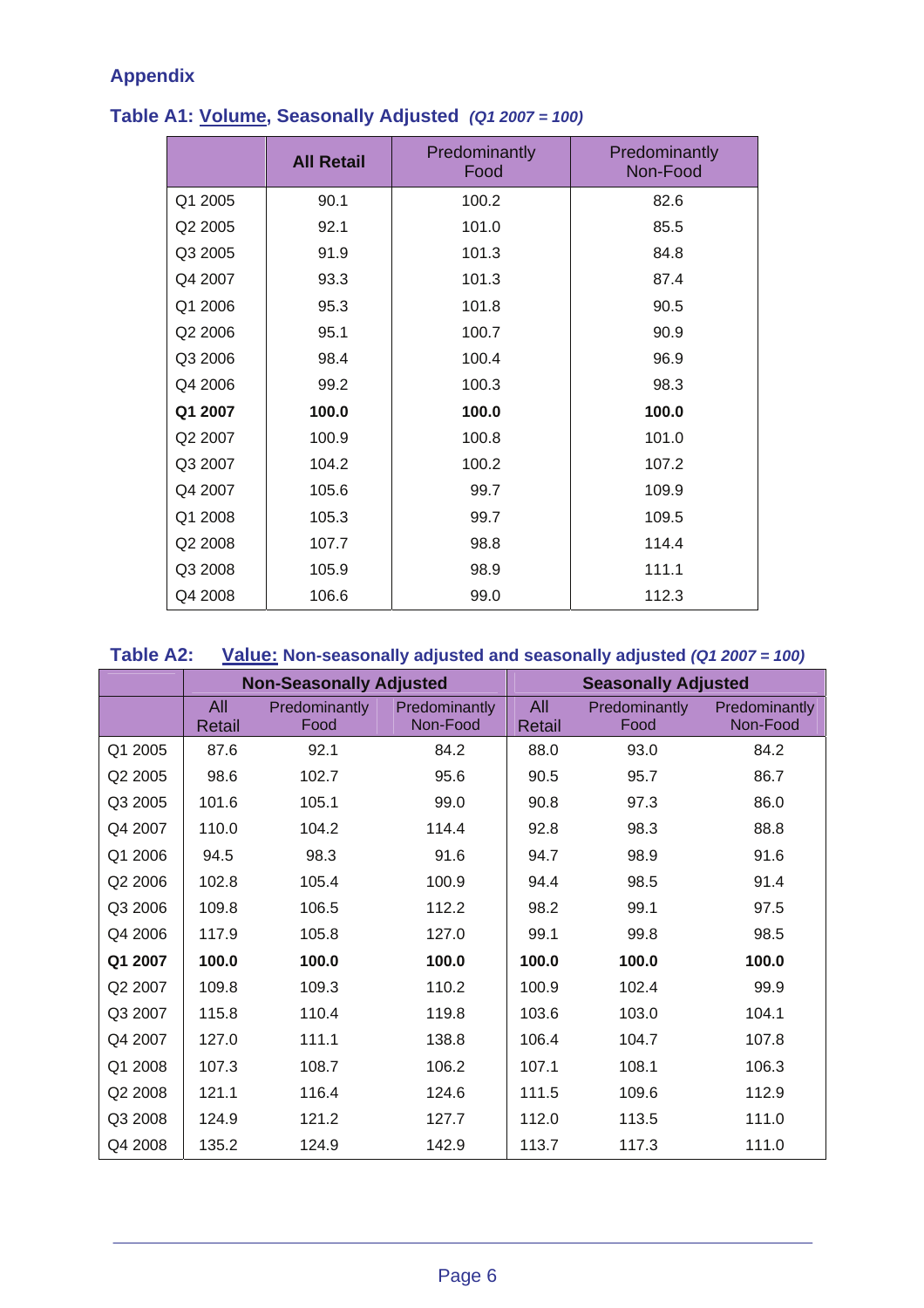# **Appendix**

|         | <b>All Retail</b> | Predominantly<br>Food | Predominantly<br>Non-Food |
|---------|-------------------|-----------------------|---------------------------|
| Q1 2005 | 90.1              | 100.2                 | 82.6                      |
| Q2 2005 | 92.1              | 101.0                 | 85.5                      |
| Q3 2005 | 91.9              | 101.3                 | 84.8                      |
| Q4 2007 | 93.3              | 101.3                 | 87.4                      |
| Q1 2006 | 95.3              | 101.8                 | 90.5                      |
| Q2 2006 | 95.1              | 100.7                 | 90.9                      |
| Q3 2006 | 98.4              | 100.4                 | 96.9                      |
| Q4 2006 | 99.2              | 100.3                 | 98.3                      |
| Q1 2007 | 100.0             | 100.0                 | 100.0                     |
| Q2 2007 | 100.9             | 100.8                 | 101.0                     |
| Q3 2007 | 104.2             | 100.2                 | 107.2                     |
| Q4 2007 | 105.6             | 99.7                  | 109.9                     |
| Q1 2008 | 105.3             | 99.7                  | 109.5                     |
| Q2 2008 | 107.7             | 98.8                  | 114.4                     |
| Q3 2008 | 105.9             | 98.9                  | 111.1                     |
| Q4 2008 | 106.6             | 99.0                  | 112.3                     |

# **Table A1: Volume, Seasonally Adjusted** *(Q1 2007 = 100)*

| <b>Table A2:</b> | <b>Value: Non-seasonally adjusted and seasonally adjusted (Q1 2007 = 100)</b> |  |  |  |
|------------------|-------------------------------------------------------------------------------|--|--|--|
|------------------|-------------------------------------------------------------------------------|--|--|--|

|         | <b>Non-Seasonally Adjusted</b> |                       | <b>Seasonally Adjusted</b> |                      |                              |                           |
|---------|--------------------------------|-----------------------|----------------------------|----------------------|------------------------------|---------------------------|
|         | All<br>Retail                  | Predominantly<br>Food | Predominantly<br>Non-Food  | All<br><b>Retail</b> | <b>Predominantly</b><br>Food | Predominantly<br>Non-Food |
| Q1 2005 | 87.6                           | 92.1                  | 84.2                       | 88.0                 | 93.0                         | 84.2                      |
| Q2 2005 | 98.6                           | 102.7                 | 95.6                       | 90.5                 | 95.7                         | 86.7                      |
| Q3 2005 | 101.6                          | 105.1                 | 99.0                       | 90.8                 | 97.3                         | 86.0                      |
| Q4 2007 | 110.0                          | 104.2                 | 114.4                      | 92.8                 | 98.3                         | 88.8                      |
| Q1 2006 | 94.5                           | 98.3                  | 91.6                       | 94.7                 | 98.9                         | 91.6                      |
| Q2 2006 | 102.8                          | 105.4                 | 100.9                      | 94.4                 | 98.5                         | 91.4                      |
| Q3 2006 | 109.8                          | 106.5                 | 112.2                      | 98.2                 | 99.1                         | 97.5                      |
| Q4 2006 | 117.9                          | 105.8                 | 127.0                      | 99.1                 | 99.8                         | 98.5                      |
| Q1 2007 | 100.0                          | 100.0                 | 100.0                      | 100.0                | 100.0                        | 100.0                     |
| Q2 2007 | 109.8                          | 109.3                 | 110.2                      | 100.9                | 102.4                        | 99.9                      |
| Q3 2007 | 115.8                          | 110.4                 | 119.8                      | 103.6                | 103.0                        | 104.1                     |
| Q4 2007 | 127.0                          | 111.1                 | 138.8                      | 106.4                | 104.7                        | 107.8                     |
| Q1 2008 | 107.3                          | 108.7                 | 106.2                      | 107.1                | 108.1                        | 106.3                     |
| Q2 2008 | 121.1                          | 116.4                 | 124.6                      | 111.5                | 109.6                        | 112.9                     |
| Q3 2008 | 124.9                          | 121.2                 | 127.7                      | 112.0                | 113.5                        | 111.0                     |
| Q4 2008 | 135.2                          | 124.9                 | 142.9                      | 113.7                | 117.3                        | 111.0                     |